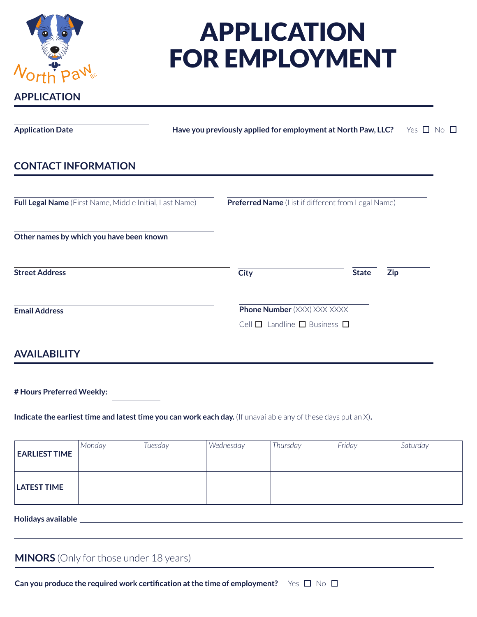| D<br>Orth          |  |  |
|--------------------|--|--|
| <b>APPLICATION</b> |  |  |

# APPLICATION FOR EMPLOYMENT

| <b>Application Date</b>                                 | Have you previously applied for employment at North Paw, LLC? |                                                    |  | Yes $\Box$   | No <sub>l</sub> |  |  |
|---------------------------------------------------------|---------------------------------------------------------------|----------------------------------------------------|--|--------------|-----------------|--|--|
| <b>CONTACT INFORMATION</b>                              |                                                               |                                                    |  |              |                 |  |  |
| Full Legal Name (First Name, Middle Initial, Last Name) |                                                               | Preferred Name (List if different from Legal Name) |  |              |                 |  |  |
| Other names by which you have been known                |                                                               |                                                    |  |              |                 |  |  |
| <b>Street Address</b>                                   |                                                               | <b>City</b>                                        |  | <b>State</b> | <b>Zip</b>      |  |  |
| <b>Email Address</b>                                    |                                                               | <b>Phone Number</b> (XXX) XXX-XXXX                 |  |              |                 |  |  |
|                                                         |                                                               | Cell $\Box$ Landline $\Box$ Business $\Box$        |  |              |                 |  |  |

## **AVAILABILITY**

**# Hours Preferred Weekly:**

**Indicate the earliest time and latest time you can work each day.** (If unavailable any of these days put an X).

| <b>EARLIEST TIME</b> | Monday | Tuesday | Wednesday | Thursday | Friday | Saturday |
|----------------------|--------|---------|-----------|----------|--------|----------|
| <b>LATEST TIME</b>   |        |         |           |          |        |          |

**Holidays available**

**MINORS** (Only for those under 18 years)

**Can you produce the required work certification at the time of employment?** Yes □ No □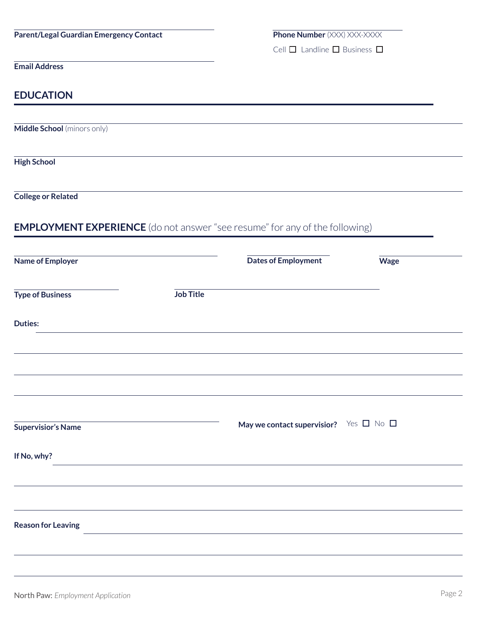| <b>Parent/Legal Guardian Emergency Contact</b>                                     |                                                                                           | <b>Phone Number (XXX) XXX-XXXX</b>               |             |
|------------------------------------------------------------------------------------|-------------------------------------------------------------------------------------------|--------------------------------------------------|-------------|
|                                                                                    |                                                                                           | Cell $\Box$ Landline $\Box$ Business $\Box$      |             |
| <b>Email Address</b>                                                               |                                                                                           |                                                  |             |
| <b>EDUCATION</b>                                                                   |                                                                                           |                                                  |             |
| Middle School (minors only)                                                        |                                                                                           |                                                  |             |
| <b>High School</b>                                                                 |                                                                                           |                                                  |             |
| <b>College or Related</b>                                                          |                                                                                           |                                                  |             |
| <b>EMPLOYMENT EXPERIENCE</b> (do not answer "see resume" for any of the following) |                                                                                           |                                                  |             |
| <b>Name of Employer</b>                                                            |                                                                                           | <b>Dates of Employment</b>                       | <b>Wage</b> |
| <b>Type of Business</b>                                                            | <b>Job Title</b>                                                                          |                                                  |             |
| <b>Duties:</b>                                                                     |                                                                                           |                                                  |             |
|                                                                                    |                                                                                           |                                                  |             |
|                                                                                    |                                                                                           |                                                  |             |
| <b>Supervisior's Name</b>                                                          |                                                                                           | May we contact supervisior? Yes $\Box$ No $\Box$ |             |
| If No, why?                                                                        |                                                                                           |                                                  |             |
|                                                                                    |                                                                                           |                                                  |             |
|                                                                                    |                                                                                           |                                                  |             |
| <b>Reason for Leaving</b>                                                          | the control of the control of the control of the control of the control of the control of |                                                  |             |
|                                                                                    |                                                                                           |                                                  |             |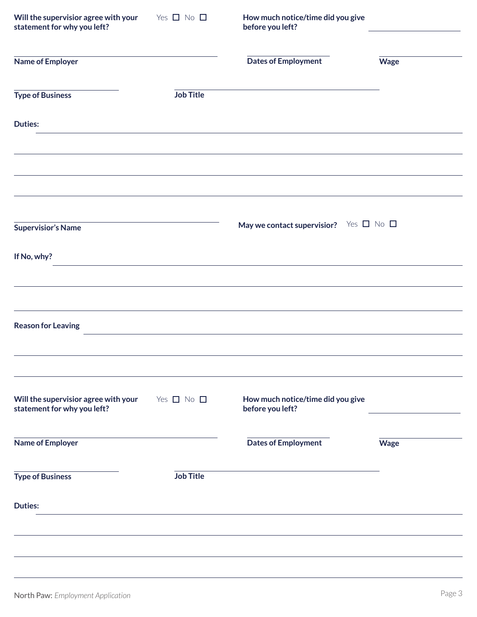| Will the supervisior agree with your<br>statement for why you left? | Yes $\Box$ No $\Box$ | How much notice/time did you give<br>before you left? |             |
|---------------------------------------------------------------------|----------------------|-------------------------------------------------------|-------------|
| <b>Name of Employer</b>                                             |                      | <b>Dates of Employment</b>                            | <b>Wage</b> |
| <b>Type of Business</b>                                             | <b>Job Title</b>     |                                                       |             |
| <b>Duties:</b>                                                      |                      |                                                       |             |
|                                                                     |                      |                                                       |             |
| <b>Supervisior's Name</b>                                           |                      | May we contact supervisior? Yes $\Box$ No $\Box$      |             |
| If No, why?                                                         |                      |                                                       |             |
|                                                                     |                      |                                                       |             |
| <b>Reason for Leaving</b>                                           |                      |                                                       |             |
| Will the supervisior agree with your<br>statement for why you left? | Yes $\Box$ No $\Box$ | How much notice/time did you give<br>before you left? |             |
| <b>Name of Employer</b>                                             |                      | <b>Dates of Employment</b>                            | <b>Wage</b> |
| <b>Type of Business</b>                                             | <b>Job Title</b>     |                                                       |             |
| <b>Duties:</b>                                                      |                      |                                                       |             |
|                                                                     |                      |                                                       |             |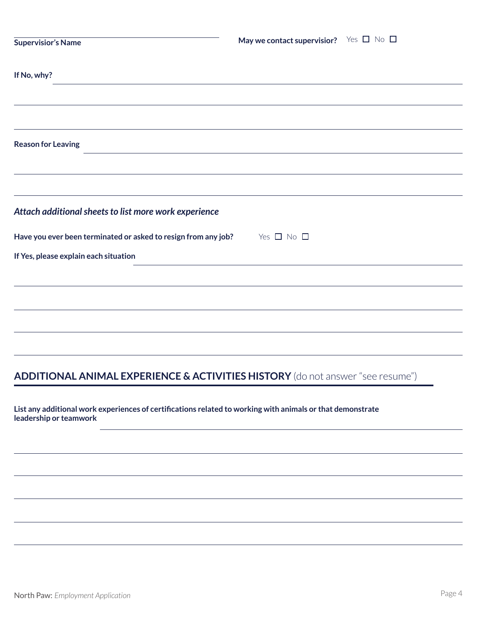| <b>Supervisior's Name</b>                                                                 | May we contact supervisior? Yes $\Box$ No $\Box$ |  |
|-------------------------------------------------------------------------------------------|--------------------------------------------------|--|
| If No, why?                                                                               |                                                  |  |
|                                                                                           |                                                  |  |
|                                                                                           |                                                  |  |
| <b>Reason for Leaving</b>                                                                 |                                                  |  |
|                                                                                           |                                                  |  |
|                                                                                           |                                                  |  |
| Attach additional sheets to list more work experience                                     |                                                  |  |
| Have you ever been terminated or asked to resign from any job? $\Box$ No $\Box$           |                                                  |  |
| If Yes, please explain each situation                                                     |                                                  |  |
|                                                                                           |                                                  |  |
|                                                                                           |                                                  |  |
|                                                                                           |                                                  |  |
|                                                                                           |                                                  |  |
| <b>ADDITIONAL ANIMAL EXPERIENCE &amp; ACTIVITIES HISTORY</b> (do not answer "see resume") |                                                  |  |

**List any additional work experiences of certifications related to working with animals or that demonstrate leadership or teamwork**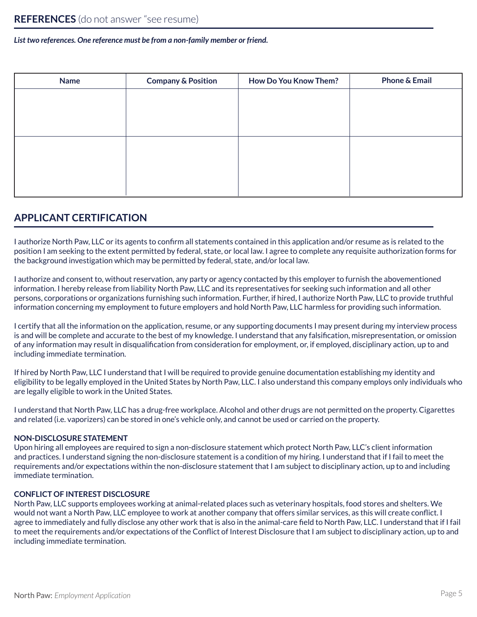### *List two references. One reference must be from a non-family member or friend.*

| <b>Name</b> | <b>Company &amp; Position</b> | <b>How Do You Know Them?</b> | <b>Phone &amp; Email</b> |
|-------------|-------------------------------|------------------------------|--------------------------|
|             |                               |                              |                          |
|             |                               |                              |                          |
|             |                               |                              |                          |
|             |                               |                              |                          |
|             |                               |                              |                          |
|             |                               |                              |                          |
|             |                               |                              |                          |

## **APPLICANT CERTIFICATION**

I authorize North Paw, LLC or its agents to confirm all statements contained in this application and/or resume as is related to the position I am seeking to the extent permitted by federal, state, or local law. I agree to complete any requisite authorization forms for the background investigation which may be permitted by federal, state, and/or local law.

I authorize and consent to, without reservation, any party or agency contacted by this employer to furnish the abovementioned information. I hereby release from liability North Paw, LLC and its representatives for seeking such information and all other persons, corporations or organizations furnishing such information. Further, if hired, I authorize North Paw, LLC to provide truthful information concerning my employment to future employers and hold North Paw, LLC harmless for providing such information.

I certify that all the information on the application, resume, or any supporting documents I may present during my interview process is and will be complete and accurate to the best of my knowledge. I understand that any falsification, misrepresentation, or omission of any information may result in disqualification from consideration for employment, or, if employed, disciplinary action, up to and including immediate termination.

If hired by North Paw, LLC I understand that I will be required to provide genuine documentation establishing my identity and eligibility to be legally employed in the United States by North Paw, LLC. I also understand this company employs only individuals who are legally eligible to work in the United States.

I understand that North Paw, LLC has a drug-free workplace. Alcohol and other drugs are not permitted on the property. Cigarettes and related (i.e. vaporizers) can be stored in one's vehicle only, and cannot be used or carried on the property.

## **NON-DISCLOSURE STATEMENT**

Upon hiring all employees are required to sign a non-disclosure statement which protect North Paw, LLC's client information and practices. I understand signing the non-disclosure statement is a condition of my hiring. I understand that if I fail to meet the requirements and/or expectations within the non-disclosure statement that I am subject to disciplinary action, up to and including immediate termination.

## **CONFLICT OF INTEREST DISCLOSURE**

North Paw, LLC supports employees working at animal-related places such as veterinary hospitals, food stores and shelters. We would not want a North Paw, LLC employee to work at another company that offers similar services, as this will create conflict. I agree to immediately and fully disclose any other work that is also in the animal-care field to North Paw, LLC. I understand that if I fail to meet the requirements and/or expectations of the Conflict of Interest Disclosure that I am subject to disciplinary action, up to and including immediate termination.